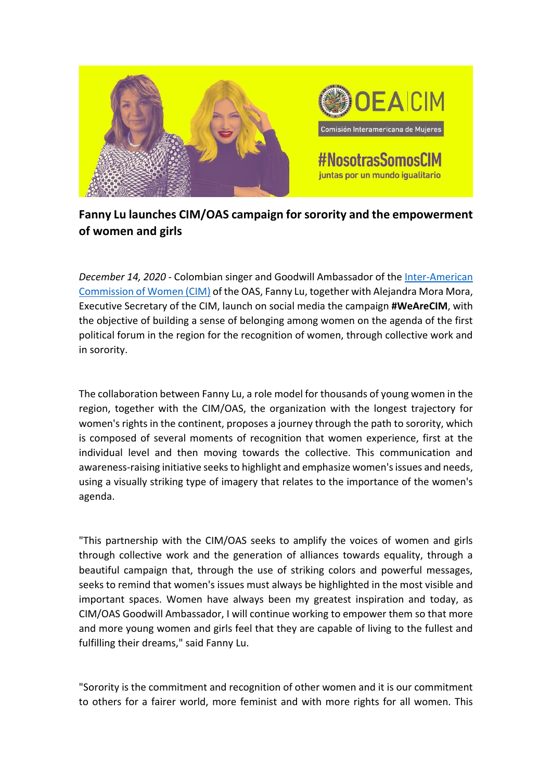

## **Fanny Lu launches CIM/OAS campaign for sorority and the empowerment of women and girls**

*December 14, 2020 -* Colombian singer and Goodwill Ambassador of the Inter-American [Commission of Women \(CIM\)](http://www.oas.org/en/CIM/about.asp) of the OAS, Fanny Lu, together with Alejandra Mora Mora, Executive Secretary of the CIM, launch on social media the campaign **#WeAreCIM**, with the objective of building a sense of belonging among women on the agenda of the first political forum in the region for the recognition of women, through collective work and in sorority.

The collaboration between Fanny Lu, a role model for thousands of young women in the region, together with the CIM/OAS, the organization with the longest trajectory for women's rights in the continent, proposes a journey through the path to sorority, which is composed of several moments of recognition that women experience, first at the individual level and then moving towards the collective. This communication and awareness-raising initiative seeks to highlight and emphasize women's issues and needs, using a visually striking type of imagery that relates to the importance of the women's agenda.

"This partnership with the CIM/OAS seeks to amplify the voices of women and girls through collective work and the generation of alliances towards equality, through a beautiful campaign that, through the use of striking colors and powerful messages, seeks to remind that women's issues must always be highlighted in the most visible and important spaces. Women have always been my greatest inspiration and today, as CIM/OAS Goodwill Ambassador, I will continue working to empower them so that more and more young women and girls feel that they are capable of living to the fullest and fulfilling their dreams," said Fanny Lu.

"Sorority is the commitment and recognition of other women and it is our commitment to others for a fairer world, more feminist and with more rights for all women. This